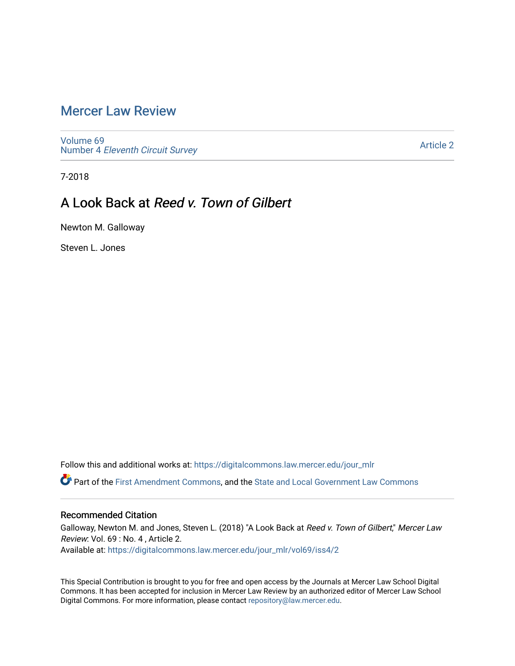# [Mercer Law Review](https://digitalcommons.law.mercer.edu/jour_mlr)

[Volume 69](https://digitalcommons.law.mercer.edu/jour_mlr/vol69) Number 4 [Eleventh Circuit Survey](https://digitalcommons.law.mercer.edu/jour_mlr/vol69/iss4) 

[Article 2](https://digitalcommons.law.mercer.edu/jour_mlr/vol69/iss4/2) 

7-2018

# A Look Back at Reed v. Town of Gilbert

Newton M. Galloway

Steven L. Jones

Follow this and additional works at: [https://digitalcommons.law.mercer.edu/jour\\_mlr](https://digitalcommons.law.mercer.edu/jour_mlr?utm_source=digitalcommons.law.mercer.edu%2Fjour_mlr%2Fvol69%2Fiss4%2F2&utm_medium=PDF&utm_campaign=PDFCoverPages)

Part of the [First Amendment Commons,](http://network.bepress.com/hgg/discipline/1115?utm_source=digitalcommons.law.mercer.edu%2Fjour_mlr%2Fvol69%2Fiss4%2F2&utm_medium=PDF&utm_campaign=PDFCoverPages) and the [State and Local Government Law Commons](http://network.bepress.com/hgg/discipline/879?utm_source=digitalcommons.law.mercer.edu%2Fjour_mlr%2Fvol69%2Fiss4%2F2&utm_medium=PDF&utm_campaign=PDFCoverPages) 

## Recommended Citation

Galloway, Newton M. and Jones, Steven L. (2018) "A Look Back at Reed v. Town of Gilbert," Mercer Law Review: Vol. 69 : No. 4 , Article 2. Available at: [https://digitalcommons.law.mercer.edu/jour\\_mlr/vol69/iss4/2](https://digitalcommons.law.mercer.edu/jour_mlr/vol69/iss4/2?utm_source=digitalcommons.law.mercer.edu%2Fjour_mlr%2Fvol69%2Fiss4%2F2&utm_medium=PDF&utm_campaign=PDFCoverPages)

This Special Contribution is brought to you for free and open access by the Journals at Mercer Law School Digital Commons. It has been accepted for inclusion in Mercer Law Review by an authorized editor of Mercer Law School Digital Commons. For more information, please contact [repository@law.mercer.edu](mailto:repository@law.mercer.edu).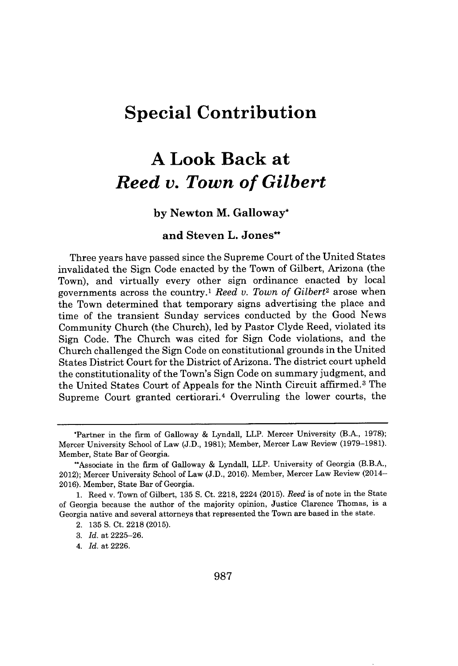# **Special Contribution**

# **A Look Back at** *Reed v. Town of Gilbert*

## **by Newton M. Galloway\***

## **and Steven L. Jones'**

Three years have passed since the Supreme Court of the United States invalidated the Sign Code enacted **by** the Town of Gilbert, Arizona (the Town), and virtually every other sign ordinance enacted **by** local governments across the country.' *Reed v. Town of Gilbert<sup>2</sup>*arose when the Town determined that temporary signs advertising the place and time of the transient Sunday services conducted **by** the Good News Community Church (the Church), led **by** Pastor Clyde Reed, violated its Sign Code. The Church was cited for Sign Code violations, and the Church challenged the Sign Code on constitutional grounds in the United States District Court for the District of Arizona. The district court upheld the constitutionality of the Town's Sign Code on summary judgment, and the United States Court of Appeals for the Ninth Circuit affirmed.<sup>3</sup> The Supreme Court granted certiorari.<sup>4</sup> Overruling the lower courts, the

<sup>\*</sup>Partner in the firm of Galloway **&** Lyndall, LLP. Mercer University (B.A., **1978);** Mercer University School of Law **(J.D., 1981);** Member, Mercer Law Review **(1979-1981).** Member, State Bar of Georgia.

<sup>&</sup>quot;Associate in the firm of Galloway **&** Lyndall, LLP. University of Georgia (B.B.A., 2012); Mercer University School of Law **(J.D., 2016).** Member, Mercer Law Review (2014- **2016).** Member, State Bar of Georgia.

**<sup>1.</sup>** Reed v. Town of Gilbert, **135 S.** Ct. **2218,** 2224 **(2015).** *Reed* is of note in the State of Georgia because the author of the majority opinion, Justice Clarence Thomas, is a Georgia native and several attorneys that represented the Town are based in the state.

<sup>2.</sup> **135 S.** Ct. **2218 (2015).**

*<sup>3.</sup> Id.* at **2225-26.**

<sup>4.</sup> *Id.* at **2226.**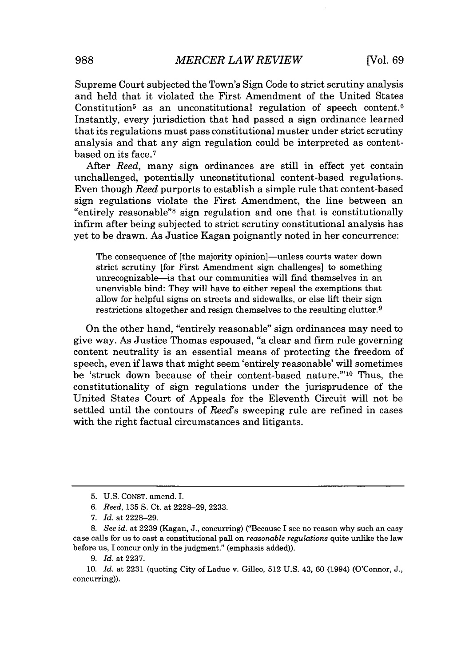Supreme Court subjected the Town's Sign Code to strict scrutiny analysis and held that it violated the First Amendment of the United States Constitution<sup>5</sup> as an unconstitutional regulation of speech content.<sup>6</sup> Instantly, every jurisdiction that had passed a sign ordinance learned that its regulations must pass constitutional muster under strict scrutiny analysis and that any sign regulation could be interpreted as contentbased on its face.<sup>7</sup>

After *Reed,* many sign ordinances are still in effect yet contain unchallenged, potentially unconstitutional content-based regulations. Even though *Reed* purports to establish a simple rule that content-based sign regulations violate the First Amendment, the line between an "entirely reasonable"<sup>8</sup>sign regulation and one that is constitutionally infirm after being subjected to strict scrutiny constitutional analysis has yet to be drawn. As Justice Kagan poignantly noted in her concurrence:

The consequence of [the majority opinion]—unless courts water down strict scrutiny [for First Amendment sign challenges] to something unrecognizable-is that our communities will find themselves in an unenviable bind: They will have to either repeal the exemptions that allow for helpful signs on streets and sidewalks, or else lift their sign restrictions altogether and resign themselves to the resulting clutter.<sup>9</sup>

On the other hand, "entirely reasonable" sign ordinances may need to give way. As Justice Thomas espoused, "a clear and firm rule governing content neutrality is an essential means of protecting the freedom of speech, even if laws that might seem'entirely reasonable' will sometimes be 'struck down because of their content-based nature."<sup>10</sup> Thus, the constitutionality of sign regulations under the jurisprudence of the United States Court of Appeals for the Eleventh Circuit will not be settled until the contours of *Reed's* sweeping rule are refined in cases with the right factual circumstances and litigants.

**<sup>5.</sup> U.S. CONST.** amend. I.

*<sup>6.</sup> Reed, 135* **S.** Ct. at **2228-29, 2233.**

*<sup>7.</sup> Id.* at **2228-29.**

*<sup>8.</sup> See id.* at **2239** (Kagan, **J.,** concurring) ("Because I see no reason why such an easy case calls for us to cast a constitutional pall on *reasonable regulations* quite unlike the law before us, **I** concur only in the judgment." (emphasis added)).

**<sup>9.</sup>** *Id.* at **2237.**

*<sup>10.</sup> Id.* at **2231** (quoting City of Ladue v. Gilleo, **512 U.S.** 43, **60** (1994) (O'Connor, **J.,** concurring)).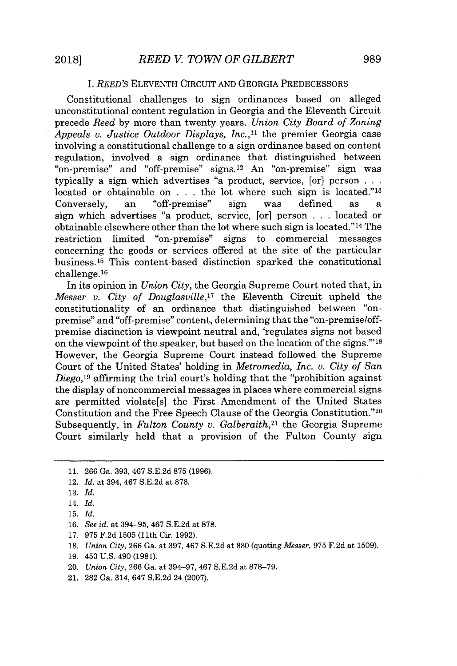#### *I. REED'S* **ELEVENTH** CIRCUIT **AND GEORGIA** PREDECESSORS

Constitutional challenges to sign ordinances based on alleged unconstitutional content regulation in Georgia and the Eleventh Circuit precede *Reed* **by** more than twenty years. *Union City Board of Zoning Appeals v. Justice Outdoor Displays, Inc.,"* the premier Georgia case involving a constitutional challenge to a sign ordinance based on content regulation, involved a sign ordinance that distinguished between "on-premise" and "off-premise" signs.1<sup>2</sup>An "on-premise" sign was typically a sign which advertises "a product, service, [or] person **...** located or obtainable on **. . .** the lot where such sign is located."13 Conversely, an "off-premise" sign was defined as a sign which advertises "a product, service, [or] person **. .** located or obtainable elsewhere other than the lot where such sign is located." $14$  The restriction limited "on-premise" signs to commercial messages concerning the goods or services offered at the site of the particular business.<sup>15</sup> This content-based distinction sparked the constitutional challenge.<sup>16</sup>

In its opinion in *Union City,* the Georgia Supreme Court noted that, in *Messer v. City of Douglasville,1<sup>7</sup>*the Eleventh Circuit upheld the constitutionality of an ordinance that distinguished between "onpremise" and "off-premise" content, determining that the "on-premise/offpremise distinction is viewpoint neutral and, 'regulates signs not based on the viewpoint of the speaker, but based on the location of the signs. $"''^{18}$ However, the Georgia Supreme Court instead followed the Supreme Court of the United States' holding in *Metromedia, Inc. v. City of San Diego,<sup>19</sup>*affirming the trial court's holding that the "prohibition against the display of noncommercial messages in places where commercial signs are permitted violate[s] the First Amendment of the United States Constitution and the Free Speech Clause of the Georgia Constitution."<sup>20</sup> Subsequently, in *Fulton County v. Galberaith,<sup>21</sup>*the Georgia Supreme Court similarly held that a provision of the Fulton County sign

**17. 975 F.2d 1505** (11th Cir. **1992).**

- **19.** 453 **U.S.** 490 **(1981).**
- 20. *Union City,* **266** Ga. at **394-97,** 467 **S.E.2d** at **878-79.**
- 21. **282** Ga. 314, 647 **S.E.2d** 24 **(2007).**

**<sup>11. 266</sup>** Ga. **393,** 467 **S.E.2d 875 (1996).**

<sup>12.</sup> *Id.* at 394, 467 **S.E.2d** at **878.**

**<sup>13.</sup>** *Id.*

<sup>14.</sup> *Id.*

**<sup>15.</sup>** *Id.*

**<sup>16.</sup>** *See id.* at **394-95,** 467 **S.E.2d** at **878.**

**<sup>18.</sup>** *Union City,* **266** Ga. at **397,** 467 **S.E.2d** at **880** (quoting *Messer,* **975 F.2d** at **1509).**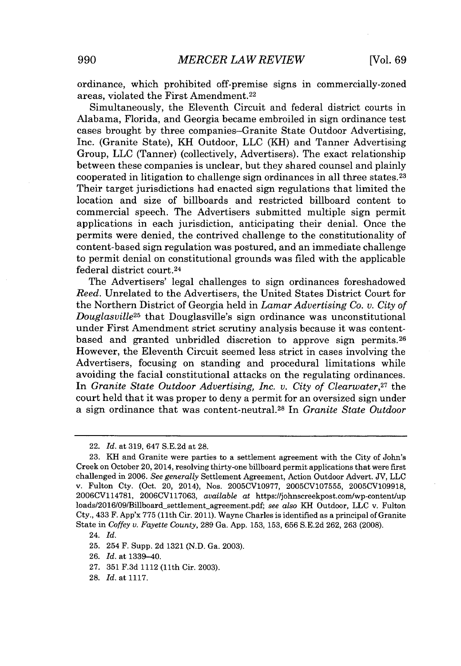ordinance, which prohibited off-premise signs in commercially-zoned areas, violated the First Amendment. <sup>22</sup>

Simultaneously, the Eleventh Circuit and federal district courts in Alabama, Florida, and Georgia became embroiled in sign ordinance test cases brought **by** three companies-Granite State Outdoor Advertising, Inc. (Granite State), KH Outdoor, **LLC** (KH) and Tanner Advertising Group, **LLC** (Tanner) (collectively, Advertisers). The exact relationship between these companies is unclear, but they shared counsel and plainly cooperated in litigation to challenge sign ordinances in all three states.<sup>23</sup> Their target jurisdictions had enacted sign regulations that limited the location and size of billboards and restricted billboard content to commercial speech. The Advertisers submitted multiple sign permit applications in each jurisdiction, anticipating their denial. Once the permits were denied, the contrived challenge to the constitutionality of content-based sign regulation was postured, and an immediate challenge to permit denial on constitutional grounds was filed with the applicable federal district court. <sup>24</sup>

The Advertisers' legal challenges to sign ordinances foreshadowed *Reed.* Unrelated to the Advertisers, the United States District Court for the Northern District of Georgia held in *Lamar Advertising Co. v. City of Douglasville<sup>25</sup>*that Douglasville's sign ordinance was unconstitutional under First Amendment strict scrutiny analysis because it was contentbased and granted unbridled discretion to approve sign permits.<sup>26</sup> However, the Eleventh Circuit seemed less strict in cases involving the Advertisers, focusing on standing and procedural limitations while avoiding the facial constitutional attacks on the regulating ordinances. In *Granite State Outdoor Advertising, Inc. v. City of Clearwater,<sup>27</sup>*the court held that it was proper to deny a permit for an oversized sign under a sign ordinance that was content-neutral. <sup>28</sup>In *Granite State Outdoor*

**25.** 254 F. Supp. **2d 1321 (N.D.** Ga. **2003).**

**26.** *Id.* at 1339-40.

**27. 351 F.3d** 1112 (11th Cir. **2003).**

**28.** *Id.* at **1117.**

<sup>22.</sup> *Id. at* **319,** 647 **S.E.2d** at **28.**

**<sup>23.</sup>** KH and Granite were parties to a settlement agreement with the City of John's Creek on October 20, 2014, resolving thirty-one billboard permit applications that were first challenged in **2006.** *See generally* Settlement Agreement, Action Outdoor Advert. **JV, LLC** v. Fulton Cty. (Oct. 20, 2014), Nos. **2005CV10977, 2005CV107555, 2005CV109918, 2006CV114781, 2006CV117063,** *available* at https://johnscreekpost.com/wp-content/up loads/2016/09/Billboard settlement agreement.pdf- *see also* KH Outdoor, **LLC** v. Fulton Cty., 433 F. App'x **775 (11th** Cir. **2011).** Wayne Charles is identified as a principal of Granite State in *Coffey v. Fayette County,* **289** Ga. **App. 153, 153, 656 S.E.2d 262, 263 (2008).**

<sup>24.</sup> *Id.*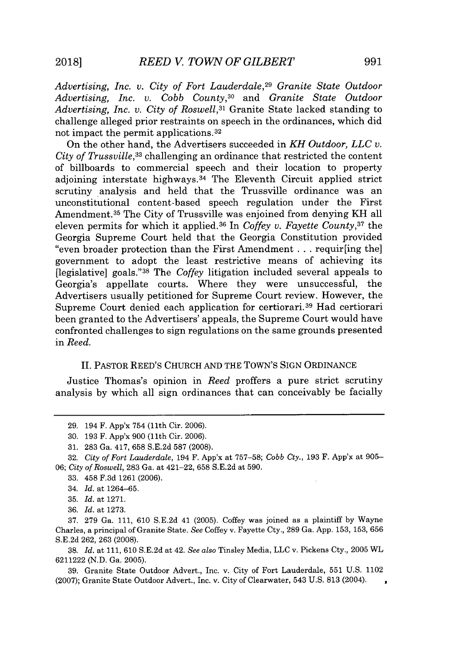*Advertising, Inc. v. City of Fort Lauderdale,<sup>29</sup>Granite State Outdoor Advertising, Inc. v. Cobb County,<sup>30</sup>*and *Granite State Outdoor Advertising, Inc. v. City of Roswell, <sup>31</sup>*Granite State lacked standing to challenge alleged prior restraints on speech in the ordinances, which did not impact the permit applications. <sup>32</sup>

On the other hand, the Advertisers succeeded in *KH Outdoor, LLC v. City of Trussville,<sup>33</sup>*challenging an ordinance that restricted the content of billboards to commercial speech and their location to property adjoining interstate highways. $34$  The Eleventh Circuit applied strict scrutiny analysis and held that the Trussville ordinance was an unconstitutional content-based speech regulation under the First Amendment.<sup>35</sup> The City of Trussville was enjoined from denying KH all eleven permits for which it applied.<sup>36</sup> In *Coffey v. Fayette County*<sup>37</sup> the Georgia Supreme Court held that the Georgia Constitution provided "even broader protection than the First Amendment **.** . **.** requir[ing the] government to adopt the least restrictive means of achieving its [legislative] goals." <sup>38</sup>The *Coffey* litigation included several appeals to Georgia's appellate courts. Where they were unsuccessful, the Advertisers usually petitioned for Supreme Court review. However, the Supreme Court denied each application for certiorari.<sup>39</sup> Had certiorari been granted to the Advertisers' appeals, the Supreme Court would have confronted challenges to sign regulations on the same grounds presented in *Reed.*

#### II. PASTOR REED'S **CHURCH AND** THE TOWN'S SIGN ORDINANCE

Justice Thomas's opinion in *Reed* proffers a pure strict scrutiny analysis **by** which all sign ordinances that can conceivably be facially

**32.** *City of Fort Lauderdale,* 194 F. App'x at **757-58;** *Cobb Cty.,* **193** F. App'x at **905-** *06; City of Roswell,* **283** Ga. at 421-22, **658 S.E.2d** at **590.**

**33.** 458 **F.3d 1261 (2006).**

**35.** *Id.* at **1271.**

**37. 279** Ga. **111, 610 S.E.2d** 41 **(2005).** Coffey was joined as a plaintiff **by** Wayne Charles, a principal of Granite State. *See* Coffey v. Fayette Cty., **289** Ga. **App. 153, 153, 656 S.E.2d 262, 263 (2008).**

**38.** *Id.* at **111, 610 S.E.2d** at 42. *See also* Tinsley Media, **LLC** v. Pickens Cty., **2005** WL **6211222 (N.D.** Ga. **2005).**

**39.** Granite State Outdoor Advert., Inc. v. City of Fort Lauderdale, **551 U.S.** 1102 **(2007);** Granite State Outdoor Advert., Inc. v. City of Clearwater, 543 **U.S. 813** (2004).  $\ddot{\phantom{0}}$ 

**<sup>29.</sup>** 194 F. App'x 754 (11th Cir. **2006).**

**<sup>30.</sup>** 193 F. App'x 900 (11th Cir. 2006).

**<sup>31. 283</sup>** Ga. 417, **658 S.E.2d 587 (2008).**

<sup>34.</sup> *Id.* at **1264-65.**

**<sup>36.</sup>** *Id.* at **1273.**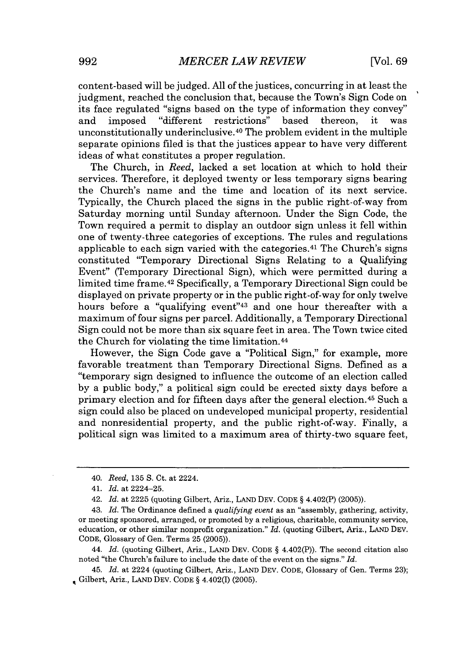content-based will be judged. **All** of the justices, concurring in at least the judgment, reached the conclusion that, because the Town's Sign Code on its face regulated "signs based on the type of information they convey" and imposed "different restrictions" based thereon, it was unconstitutionally underinclusive. $40$  The problem evident in the multiple separate opinions filed is that the justices appear to have very different ideas of what constitutes a proper regulation.

The Church, in *Reed,* lacked a set location at which to hold their services. Therefore, it deployed twenty or less temporary signs bearing the Church's name and the time and location of its next service. Typically, the Church placed the signs in the public right-of-way from Saturday morning until Sunday afternoon. Under the Sign Code, the Town required a permit to display an outdoor sign unless it fell within one of twenty-three categories of exceptions. The rules and regulations applicable to each sign varied with the categories.<sup>41</sup> The Church's signs constituted "Temporary Directional Signs Relating to a Qualifying Event" (Temporary Directional Sign), which were permitted during a limited time frame.<sup>42</sup> Specifically, a Temporary Directional Sign could be displayed on private property or in the public right-of-way for only twelve hours before a "qualifying event"<sup>43</sup> and one hour thereafter with a maximum of four signs per parcel. Additionally, a Temporary Directional Sign could not be more than six square feet in area. The Town twice cited the Church for violating the time limitation. <sup>4</sup> 4

However, the Sign Code gave a "Political Sign," for example, more favorable treatment than Temporary Directional Signs. Defined as a "temporary sign designed to influence the outcome of an election called **by** a public body," a political sign could be erected sixty days before a primary election and for fifteen days after the general election.<sup>45</sup> Such a sign could also be placed on undeveloped municipal property, residential and nonresidential property, and the public right-of-way. Finally, **a** political sign was limited to a maximum area of thirty-two square feet,

<sup>40.</sup> *Reed, 135* **S.** Ct. at 2224.

<sup>41.</sup> *Id. at* 2224-25.

<sup>42.</sup> *Id. at* **2225** (quoting Gilbert, Ariz., **LAND DEV. CODE §** 4.402(P) **(2005)).**

<sup>43.</sup> *Id.* The Ordinance defined *a qualifying event* as an "assembly, gathering, activity, or meeting sponsored, arranged, or promoted **by** a religious, charitable, community service, education, or other similar nonprofit organization." *Id.* (quoting Gilbert, Ariz., **LAND DEV. CODE,** Glossary of Gen. Terms **25 (2005)).**

<sup>44.</sup> *Id.* (quoting Gilbert, Ariz., **LAND DEV. CODE §** 4.402(P)). The second citation also noted "the Church's failure to include the date of the event on the signs." *Id.*

<sup>45.</sup> *Id.* at 2224 (quoting Gilbert, Ariz., **LAND DEV. CODE,** Glossary of Gen. Terms **23);** Gilbert, Ariz., **LAND DEV. CODE §** 4.402(I) **(2005).**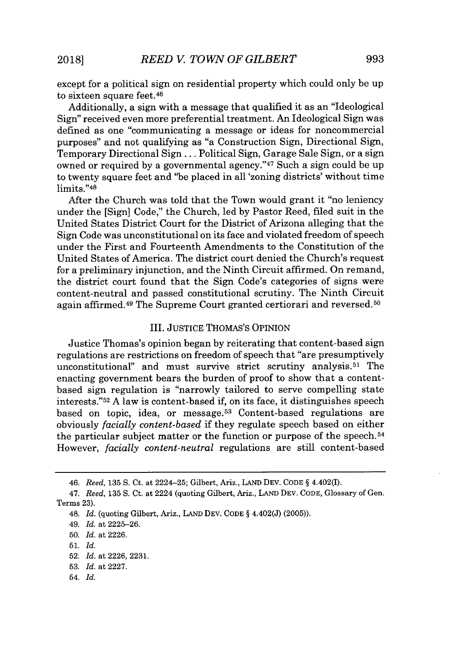except for a political sign on residential property which could only be up to sixteen square feet.<sup>46</sup>

Additionally, a sign with a message that qualified it as an "Ideological Sign" received even more preferential treatment. An Ideological Sign was defined as one "communicating a message or ideas for noncommercial purposes" and not qualifying as "a Construction Sign, Directional Sign, Temporary Directional Sign **...** Political Sign, Garage Sale Sign, or a sign owned or required by a governmental agency.<sup>"47</sup> Such a sign could be up to twenty square feet and "be placed in all 'zoning districts' without time limits."48

After the Church was told that the Town would grant it "no leniency under the [Sign] Code," the Church, led **by** Pastor Reed, filed suit in the United States District Court for the District of Arizona alleging that the Sign Code was unconstitutional on its face and violated freedom of speech under the First and Fourteenth Amendments to the Constitution of the United States of America. The district court denied the Church's request for a preliminary injunction, and the Ninth Circuit affirmed. On remand, the district court found that the Sign Code's categories of signs were content-neutral and passed constitutional scrutiny. The Ninth Circuit again affirmed.<sup>49</sup> The Supreme Court granted certiorari and reversed.<sup>50</sup>

#### III. **JUSTICE THOMAS'S** OPINION

Justice Thomas's opinion began **by** reiterating that content-based sign regulations are restrictions on freedom of speech that "are presumptively unconstitutional" and must survive strict scrutiny analysis.<sup>51</sup> The enacting government bears the burden of proof to show that a contentbased sign regulation is "narrowly tailored to serve compelling state interests." <sup>52</sup>**A** law is content-based if, on its face, it distinguishes speech based on topic, idea, or message.<sup>53</sup> Content-based regulations are obviously *facially content-based* if they regulate speech based on either the particular subject matter or the function or purpose of the speech. <sup>54</sup> However, *facially content-neutral* regulations are still content-based

54. *Id.*

*<sup>46.</sup> Reed, 135* **S.** Ct. at 2224-25; Gilbert, Ariz., **LAND DEV. CODE** *§* 4.402(1).

*<sup>47.</sup> Reed, 135* **S.** Ct. at 2224 (quoting Gilbert, Ariz., **LAND DEV. CODE,** Glossary of Gen. Terms **23).**

<sup>48.</sup> *Id.* (quoting Gilbert, Ariz., **LAND DEV. CODE** *§* 4.402(J) **(2005)).**

<sup>49.</sup> *Id. at* **2225-26.**

**<sup>50.</sup>** *Id. at* **2226.**

**<sup>51.</sup>** *Id.*

**<sup>52.</sup>** *Id. at* **2226, 2231.**

**<sup>53.</sup>** *Id. at* **2227.**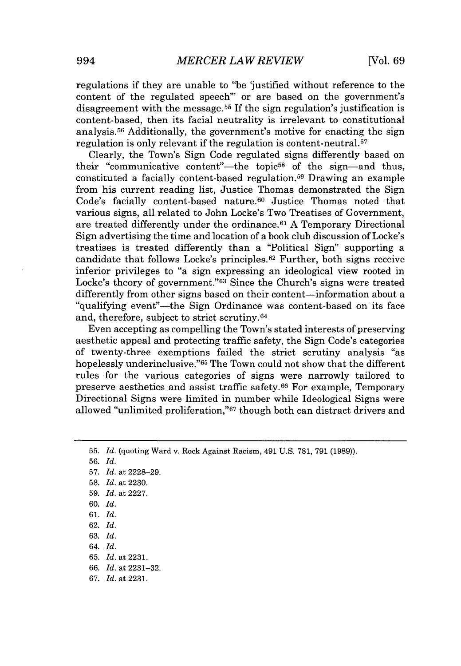regulations if they are unable to "be 'justified without reference to the content of the regulated speech' or are based on the government's disagreement with the message.<sup>55</sup> If the sign regulation's justification is content-based, then its facial neutrality is irrelevant to constitutional analysis.<sup>56</sup> Additionally, the government's motive for enacting the sign regulation is only relevant if the regulation is content-neutral.<sup>57</sup>

Clearly, the Town's Sign Code regulated signs differently based on their "communicative content"—the topic<sup>58</sup> of the sign—and thus, constituted a facially content-based regulation.<sup>59</sup> Drawing an example from his current reading list, Justice Thomas demonstrated the Sign Code's facially content-based nature.<sup>60</sup> Justice Thomas noted that various signs, all related to John Locke's Two Treatises of Government, are treated differently under the ordinance. <sup>61</sup>**A** Temporary Directional Sign advertising the time and location of a book club discussion of Locke's treatises is treated differently than a "Political Sign" supporting a candidate that follows Locke's principles. $62$  Further, both signs receive inferior privileges to "a sign expressing an ideological view rooted in Locke's theory of government."<sup>63</sup> Since the Church's signs were treated differently from other signs based on their content-information about a "qualifying event"-the Sign Ordinance was content-based on its face and, therefore, subject to strict scrutiny. <sup>64</sup>

Even accepting as compelling the Town's stated interests of preserving aesthetic appeal and protecting traffic safety, the Sign Code's categories of twenty-three exemptions failed the strict scrutiny analysis "as hopelessly underinclusive."<sup>65</sup> The Town could not show that the different rules for the various categories of signs were narrowly tailored to preserve aesthetics and assist traffic safety.<sup>66</sup> For example, Temporary Directional Signs were limited in number while Ideological Signs were allowed "unlimited proliferation,"<sup>67</sup> though both can distract drivers and

**56.** *Id.*

- **57.** *Id.* at **2228-29.**
- **58.** *Id.* at **2230.**
- **59.** *Id.* at **2227.**
- **60.** *Id.*
- **61.** *Id.*
- **62.** *Id.*
- **63.** *Id.*
- 64. *Id.*
- **65.** *Id.* at **2231.**
- **66.** *Id.* at **2231-32.**
- **67.** *Id.* at **2231.**

**<sup>55.</sup>** *Id.* (quoting Ward v. Rock Against Racism, 491 **U.S. 781, 791 (1989)).**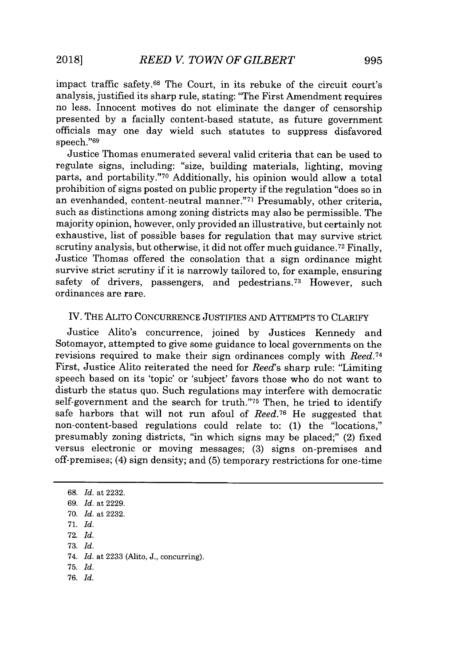impact traffic safety.<sup>68</sup> The Court, in its rebuke of the circuit court's analysis, justified its sharp rule, stating: "The First Amendment requires no less. Innocent motives do not eliminate the danger of censorship presented **by** a facially content-based statute, as future government officials may one day wield such statutes to suppress disfavored speech."<sup>69</sup>

Justice Thomas enumerated several valid criteria that can be used to regulate signs, including: "size, building materials, lighting, moving parts, and portability."<sup>70</sup> Additionally, his opinion would allow a total prohibition of signs posted on public property if the regulation "does so in an evenhanded, content-neutral manner."71 Presumably, other criteria, such as distinctions among zoning districts may also be permissible. The majority opinion, however, only provided an illustrative, but certainly not exhaustive, list of possible bases for regulation that may survive strict scrutiny analysis, but otherwise, it did not offer much guidance.<sup>72</sup> Finally, Justice Thomas offered the consolation that a sign ordinance might survive strict scrutiny if it is narrowly tailored to, for example, ensuring safety of drivers, passengers, and pedestrians.<sup>73</sup> However, such ordinances are rare.

### IV. THE ALITO **CONCURRENCE** JUSTIFIES **AND** ATTEMPTS TO CLARIFY

Justice Alito's concurrence, joined **by** Justices Kennedy and Sotomayor, attempted to give some guidance to local governments on the revisions required to make their sign ordinances comply with *Reed.<sup>74</sup>* First, Justice Alito reiterated the need for *Reed's* sharp rule: "Limiting speech based on its 'topic' or 'subject' favors those who do not want to disturb the status quo. Such regulations may interfere with democratic self-government and the search for truth."75 Then, he tried to identify safe harbors that will not run afoul of *Reed.*<sup>76</sup> He suggested that non-content-based regulations could relate to: **(1)** the "locations," presumably zoning districts, "in which signs may be placed;" (2) fixed versus electronic or moving messages; **(3)** signs on-premises and off-premises; (4) sign density; and **(5)** temporary restrictions for one-time

**68.** *Id.* at **2232.** *69. Id.* at **2229. 70.** *Id.* at **2232. 71.** *Id.* **72.** *Id.* **73.** *Id. 74. Id.* at **2233** (Alto, **J.,** concurring). **75.** *Id. 76. Id.*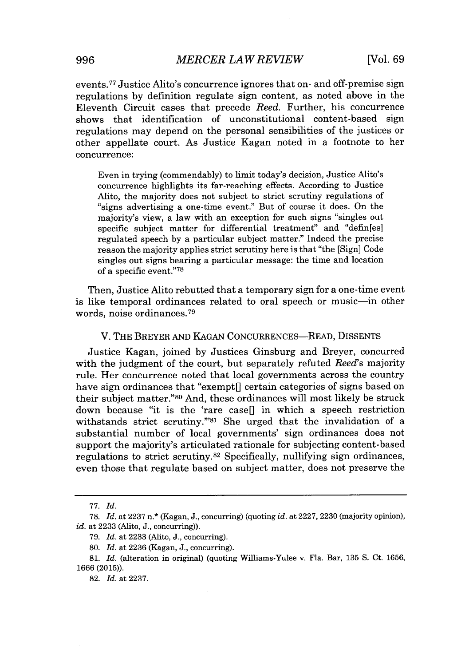events.<sup>77</sup>Justice Alito's concurrence ignores that on- and off-premise sign regulations **by** definition regulate sign content, as noted above in the Eleventh Circuit cases that precede *Reed.* Further, his concurrence shows that identification of unconstitutional content-based sign regulations may depend on the personal sensibilities of the justices or other appellate court. As Justice Kagan noted in a footnote to her concurrence:

Even in trying (commendably) to limit today's decision, Justice Alito's concurrence highlights its far-reaching effects. According to Justice Alito, the majority does not subject to strict scrutiny regulations of "signs advertising a one-time event." But of course it does. On the majority's view, a law with an exception for such signs "singles out specific subject matter for differential treatment" and "defin[es] regulated speech **by** a particular subject matter." Indeed the precise reason the majority applies strict scrutiny here is that "the [Sign] Code singles out signs bearing a particular message: the time and location of a specific event."<sup>78</sup>

Then, Justice Alito rebutted that a temporary sign for a one-time event is like temporal ordinances related to oral speech or music-in other words, noise ordinances.<sup>79</sup>

#### V. THE BREYER AND KAGAN CONCURRENCES-READ, DISSENTS

Justice Kagan, joined **by** Justices Ginsburg and Breyer, concurred with the judgment of the court, but separately refuted *Reed's* majority rule. Her concurrence noted that local governments across the country have sign ordinances that "exempt<sup>|</sup>| certain categories of signs based on their subject matter."80 And, these ordinances will most likely be struck down because "it is the 'rare case[] in which a speech restriction withstands strict scrutiny."<sup>81</sup> She urged that the invalidation of a substantial number of local governments' sign ordinances does not support the majority's articulated rationale for subjecting content-based regulations to strict scrutiny.<sup>82</sup> Specifically, nullifying sign ordinances, even those that regulate based on subject matter, does not preserve the

*<sup>77.</sup> Id.*

**<sup>78.</sup>** *Id.* at **2237** n.\* (Kagan, **J.,** concurring) (quoting *id.* at **2227, 2230** (majority opinion), *id.* at **2233** (Alito, **J.,** concurring)).

**<sup>79.</sup>** *Id.* at **2233** (Alito, **J.,** concurring).

**<sup>80.</sup>** *Id.* at **2236** (Kagan, **J.,** concurring).

**<sup>81.</sup>** *Id.* (alteration in original) (quoting Williams-Yulee v. Fla. Bar, **135 S.** Ct. **1656, 1666 (2015)).**

**<sup>82.</sup>** *Id.* at **2237.**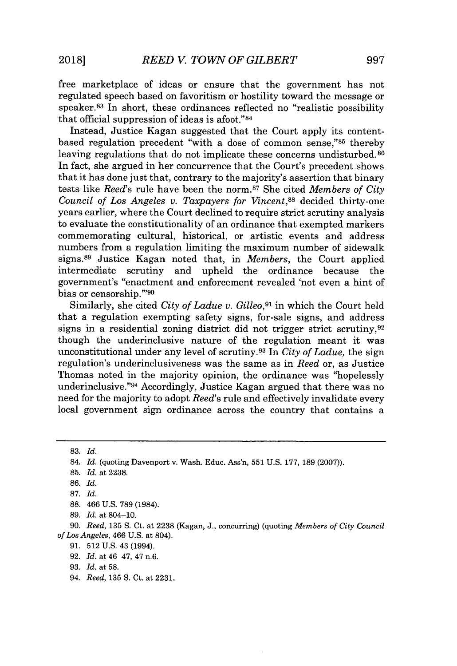free marketplace of ideas or ensure that the government has not regulated speech based on favoritism or hostility toward the message or speaker.<sup>83</sup>In short, these ordinances reflected no "realistic possibility that official suppression of ideas is afoot." <sup>84</sup>

Instead, Justice Kagan suggested that the Court apply its contentbased regulation precedent "with a dose of common sense,"<sup>85</sup> thereby leaving regulations that do not implicate these concerns undisturbed.<sup>86</sup> In fact, she argued in her concurrence that the Court's precedent shows that it has done just that, contrary to the majority's assertion that binary tests like *Reed*'s rule have been the norm.<sup>87</sup> She cited *Members of City Council of Los Angeles v. Taxpayers for Vincent,<sup>88</sup>*decided thirty-one years earlier, where the Court declined to require strict scrutiny analysis to evaluate the constitutionality of an ordinance that exempted markers commemorating cultural, historical, or artistic events and address numbers from a regulation limiting the maximum number of sidewalk signs.<sup>89</sup> Justice Kagan noted that, in *Members*, the Court applied intermediate scrutiny and upheld the ordinance because the government's "enactment and enforcement revealed 'not even a hint of bias or censorship."90

Similarly, she cited *City of Ladue v. Gilleo,<sup>91</sup>*in which the Court held that a regulation exempting safety signs, for-sale signs, and address signs in a residential zoning district did not trigger strict scrutiny, 92 though the underinclusive nature of the regulation meant it was unconstitutional under any level of scrutiny. <sup>93</sup>In *City of Ladue,* the sign regulation's underinclusiveness was the same as in *Reed* or, as Justice Thomas noted in the majority opinion, the ordinance was "hopelessly underinclusive."<sup>94</sup> Accordingly, Justice Kagan argued that there was no need for the majority to adopt *Reed's* rule and effectively invalidate every local government sign ordinance across the country that contains a

**83.** *Id.*

- **88.** 466 **U.S. 789** (1984).
- **89.** *Id.* at 804-10.

**90.** *Reed, 135* **S.** Ct. at **2238** (Kagan, **J.,** concurring) (quoting *Members of City Council of Los Angeles,* 466 **U.S.** at 804).

- **91. 512 U.S.** 43 (1994).
- **92.** *Id.* at 46-47, 47 n.6.
- **93.** *Id.* at **58.**
- 94. *Reed,* **135 S.** Ct. at **2231.**

<sup>84.</sup> *Id.* (quoting Davenport v. Wash. Educ. Ass'n, **551 U.S. 177, 189 (2007)).**

**<sup>85.</sup>** *Id. at* **2238.**

**<sup>86.</sup>** *Id.*

**<sup>87.</sup>** *Id.*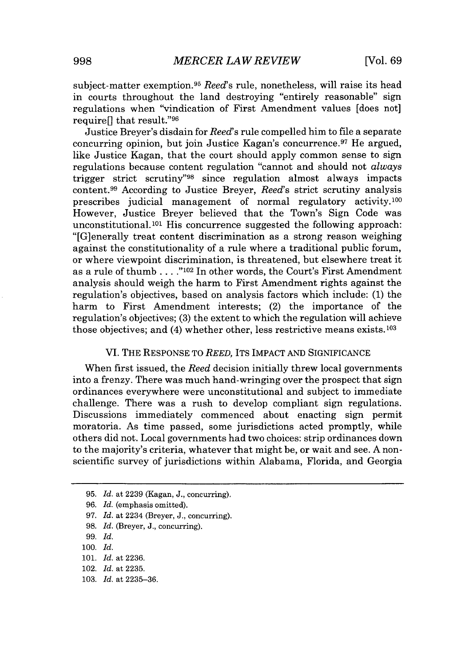subject-matter exemption.<sup>95</sup> *Reed*'s rule, nonetheless, will raise its head in courts throughout the land destroying "entirely reasonable" sign regulations when "vindication of First Amendment values [does not] require<sup>[]</sup> that result."<sup>96</sup>

Justice Breyer's disdain for *Reed's* rule compelled him to file a separate concurring opinion, but join Justice Kagan's concurrence.<sup>97</sup> He argued, like Justice Kagan, that the court should apply common sense to sign regulations because content regulation "cannot and should not *always* trigger strict scrutiny"<sup>98</sup> since regulation almost always impacts content.<sup>99</sup> According to Justice Breyer, *Reed's* strict scrutiny analysis prescribes judicial management of normal regulatory activity.<sup>100</sup> However, Justice Breyer believed that the Town's Sign Code was unconstitutional.<sup>101</sup> His concurrence suggested the following approach: "[G]enerally treat content discrimination as a strong reason weighing against the constitutionality of a rule where a traditional public forum, or where viewpoint discrimination, is threatened, but elsewhere treat it as a rule of thumb **. . . ."102** In other words, the Court's First Amendment analysis should weigh the harm to First Amendment rights against the regulation's objectives, based on analysis factors which include: **(1)** the harm to First Amendment interests; (2) the importance of the regulation's objectives; **(3)** the extent to which the regulation will achieve those objectives; and  $(4)$  whether other, less restrictive means exists.<sup>103</sup>

#### VI. THE **RESPONSE** TO *REED,* ITS IMPACT **AND** SIGNIFICANCE

When first issued, the *Reed* decision initially threw local governments into a frenzy. There was much hand-wringing over the prospect that sign ordinances everywhere were unconstitutional and subject to immediate challenge. There was a rush to develop compliant sign regulations. Discussions immediately commenced about enacting sign permit moratoria. As time passed, some jurisdictions acted promptly, while others did not. Local governments had two choices: strip ordinances down to the majority's criteria, whatever that might be, or wait and see. **A** nonscientific survey of jurisdictions within Alabama, Florida, and Georgia

**101.** *Id.* at **2236.**

**<sup>95.</sup>** *Id.* at **2239** (Kagan, **J.,** concurring).

**<sup>96.</sup>** *Id.* (emphasis omitted).

**<sup>97.</sup>** *Id.* at 2234 (Breyer, **J.,** concurring).

**<sup>98.</sup>** *Id.* (Breyer, **J.,** concurring).

**<sup>99.</sup>** *Id.*

**<sup>100.</sup>** *Id.*

<sup>102.</sup> *Id.* at **2235.**

**<sup>103.</sup>** *Id.* at **2235-36.**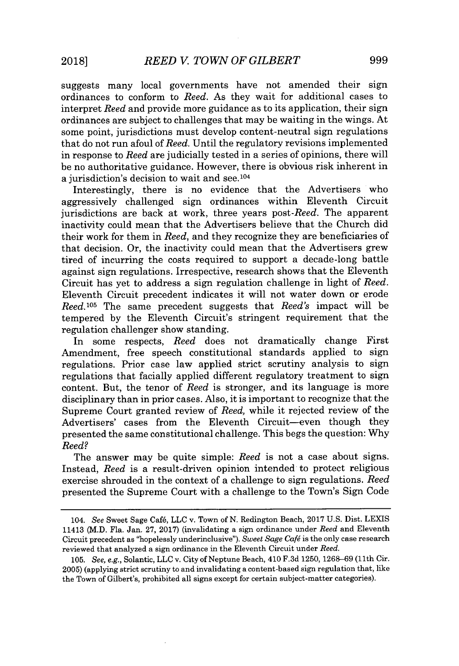suggests many local governments have not amended their sign ordinances to conform to *Reed.* As they wait for additional cases to interpret *Reed* and provide more guidance as to its application, their sign ordinances are subject to challenges that may be waiting in the wings. At some point, jurisdictions must develop content-neutral sign regulations that do not run afoul of *Reed.* Until the regulatory revisions implemented in response to *Reed* are judicially tested in a series of opinions, there will be no authoritative guidance. However, there is obvious risk inherent in a jurisdiction's decision to wait and see.104

Interestingly, there is no evidence that the Advertisers who aggressively challenged sign ordinances within Eleventh Circuit jurisdictions are back at work, three years *post-Reed.* The apparent inactivity could mean that the Advertisers believe that the Church did their work for them in *Reed,* and they recognize they are beneficiaries of that decision. Or, the inactivity could mean that the Advertisers grew tired of incurring the costs required to support a decade-long battle against sign regulations. Irrespective, research shows that the Eleventh Circuit has yet to address a sign regulation challenge in light of *Reed.* Eleventh Circuit precedent indicates it will not water down or erode *Reed. <sup>05</sup>*The same precedent suggests that *Reed's* impact will be tempered **by** the Eleventh Circuit's stringent requirement that the regulation challenger show standing.

In some respects, *Reed* does not dramatically change First Amendment, free speech constitutional standards applied to sign regulations. Prior case law applied strict scrutiny analysis to sign regulations that facially applied different regulatory treatment to sign content. But, the tenor of *Reed* is stronger, and its language is more disciplinary than in prior cases. Also, it is important to recognize that the Supreme Court granted review of *Reed,* while it rejected review of the Advertisers' cases from the Eleventh Circuit-even though they presented the same constitutional challenge. This begs the question: **Why** *Reed?*

The answer may be quite simple: *Reed* is not a case about signs. Instead, *Reed* is a result-driven opinion intended to protect religious exercise shrouded in the context of a challenge to sign regulations. *Reed* presented the Supreme Court with a challenge to the Town's Sign Code

*<sup>104.</sup> See* Sweet Sage Caf6, **LLC** v. Town of **N.** Redington Beach, **2017 U.S.** Dist. **LEXIS** 11413 (M.D. Fla. Jan. **27, 2017)** (invalidating a sign ordinance under *Reed* and Eleventh Circuit precedent as "hopelessly underinclusive"). *Sweet Sage Cafg* is the only case research reviewed that analyzed a sign ordinance in the Eleventh Circuit under *Reed.*

*<sup>105.</sup> See, e.g.,* Solantic, **LLC** v. City of Neptune Beach, 410 **F.3d 1250, 1268-69** (11th Cir. **2005)** (applying strict scrutiny to and invalidating a content-based sign regulation that, like the Town of Gilbert's, prohibited all signs except for certain subject-matter categories).